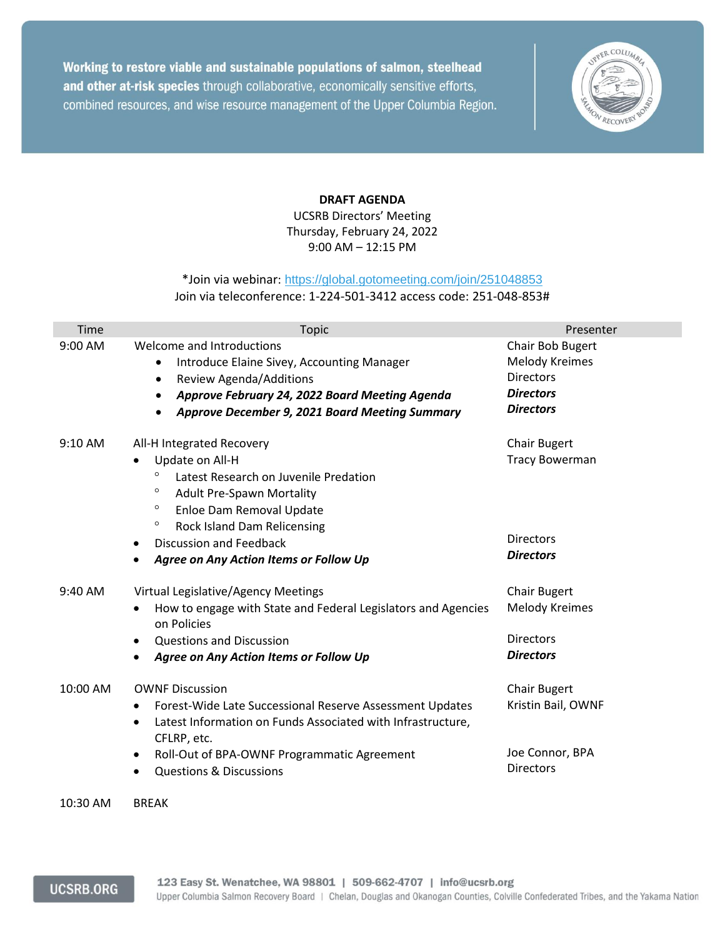Working to restore viable and sustainable populations of salmon, steelhead and other at-risk species through collaborative, economically sensitive efforts, combined resources, and wise resource management of the Upper Columbia Region.



## **DRAFT AGENDA**

UCSRB Directors' Meeting Thursday, February 24, 2022 9:00 AM – 12:15 PM

## \*Join via webinar: <https://global.gotomeeting.com/join/251048853> Join via teleconference: 1-224-501-3412 access code: 251-048-853#

| Time     | <b>Topic</b>                                                                                                                                                                                                                                                                                          | Presenter                                                                                             |
|----------|-------------------------------------------------------------------------------------------------------------------------------------------------------------------------------------------------------------------------------------------------------------------------------------------------------|-------------------------------------------------------------------------------------------------------|
| 9:00 AM  | Welcome and Introductions<br>Introduce Elaine Sivey, Accounting Manager<br>$\bullet$<br>Review Agenda/Additions<br>$\bullet$<br>Approve February 24, 2022 Board Meeting Agenda<br>$\bullet$<br>Approve December 9, 2021 Board Meeting Summary                                                         | Chair Bob Bugert<br><b>Melody Kreimes</b><br><b>Directors</b><br><b>Directors</b><br><b>Directors</b> |
| 9:10 AM  | All-H Integrated Recovery<br>Update on All-H<br>$\circ$<br>Latest Research on Juvenile Predation<br>$\circ$<br><b>Adult Pre-Spawn Mortality</b><br>$\circ$<br>Enloe Dam Removal Update<br>$\circ$<br>Rock Island Dam Relicensing<br>Discussion and Feedback<br>Agree on Any Action Items or Follow Up | <b>Chair Bugert</b><br><b>Tracy Bowerman</b><br><b>Directors</b><br><b>Directors</b>                  |
| 9:40 AM  | Virtual Legislative/Agency Meetings<br>How to engage with State and Federal Legislators and Agencies<br>on Policies<br><b>Questions and Discussion</b><br>Agree on Any Action Items or Follow Up                                                                                                      | <b>Chair Bugert</b><br><b>Melody Kreimes</b><br><b>Directors</b><br><b>Directors</b>                  |
| 10:00 AM | <b>OWNF Discussion</b><br>Forest-Wide Late Successional Reserve Assessment Updates<br>Latest Information on Funds Associated with Infrastructure,<br>CFLRP, etc.<br>Roll-Out of BPA-OWNF Programmatic Agreement<br><b>Questions &amp; Discussions</b>                                                 | <b>Chair Bugert</b><br>Kristin Bail, OWNF<br>Joe Connor, BPA<br><b>Directors</b>                      |

10:30 AM BREAK